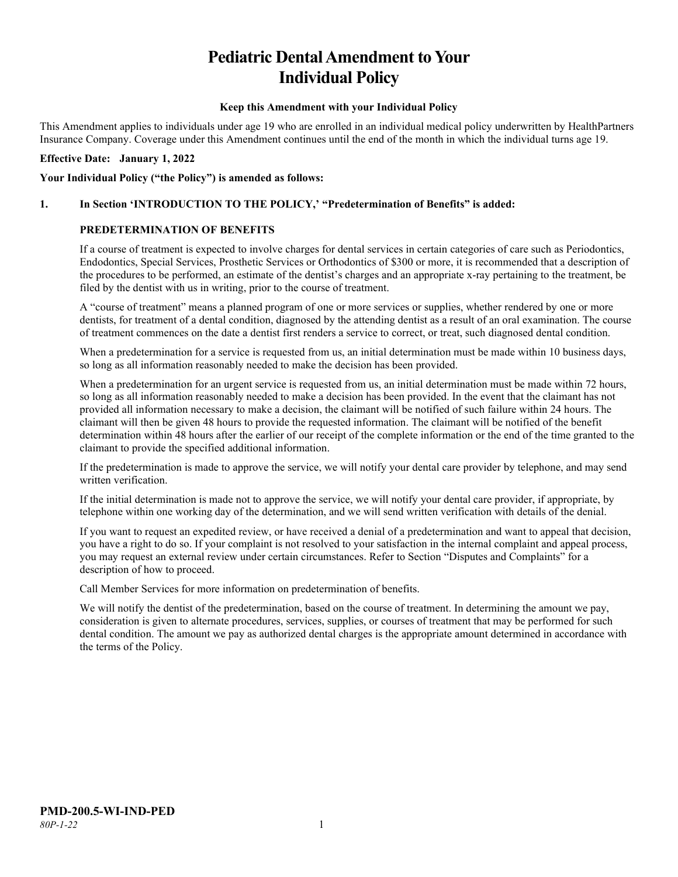# **Pediatric Dental Amendment to Your Individual Policy**

#### **Keep this Amendment with your Individual Policy**

This Amendment applies to individuals under age 19 who are enrolled in an individual medical policy underwritten by HealthPartners Insurance Company. Coverage under this Amendment continues until the end of the month in which the individual turns age 19.

#### **Effective Date: January 1, 2022**

#### **Your Individual Policy ("the Policy") is amended as follows:**

#### **1. In Section 'INTRODUCTION TO THE POLICY,' "Predetermination of Benefits" is added:**

#### **PREDETERMINATION OF BENEFITS**

If a course of treatment is expected to involve charges for dental services in certain categories of care such as Periodontics, Endodontics, Special Services, Prosthetic Services or Orthodontics of \$300 or more, it is recommended that a description of the procedures to be performed, an estimate of the dentist's charges and an appropriate x-ray pertaining to the treatment, be filed by the dentist with us in writing, prior to the course of treatment.

A "course of treatment" means a planned program of one or more services or supplies, whether rendered by one or more dentists, for treatment of a dental condition, diagnosed by the attending dentist as a result of an oral examination. The course of treatment commences on the date a dentist first renders a service to correct, or treat, such diagnosed dental condition.

When a predetermination for a service is requested from us, an initial determination must be made within 10 business days, so long as all information reasonably needed to make the decision has been provided.

When a predetermination for an urgent service is requested from us, an initial determination must be made within 72 hours, so long as all information reasonably needed to make a decision has been provided. In the event that the claimant has not provided all information necessary to make a decision, the claimant will be notified of such failure within 24 hours. The claimant will then be given 48 hours to provide the requested information. The claimant will be notified of the benefit determination within 48 hours after the earlier of our receipt of the complete information or the end of the time granted to the claimant to provide the specified additional information.

If the predetermination is made to approve the service, we will notify your dental care provider by telephone, and may send written verification.

If the initial determination is made not to approve the service, we will notify your dental care provider, if appropriate, by telephone within one working day of the determination, and we will send written verification with details of the denial.

If you want to request an expedited review, or have received a denial of a predetermination and want to appeal that decision, you have a right to do so. If your complaint is not resolved to your satisfaction in the internal complaint and appeal process, you may request an external review under certain circumstances. Refer to Section "Disputes and Complaints" for a description of how to proceed.

Call Member Services for more information on predetermination of benefits.

We will notify the dentist of the predetermination, based on the course of treatment. In determining the amount we pay, consideration is given to alternate procedures, services, supplies, or courses of treatment that may be performed for such dental condition. The amount we pay as authorized dental charges is the appropriate amount determined in accordance with the terms of the Policy.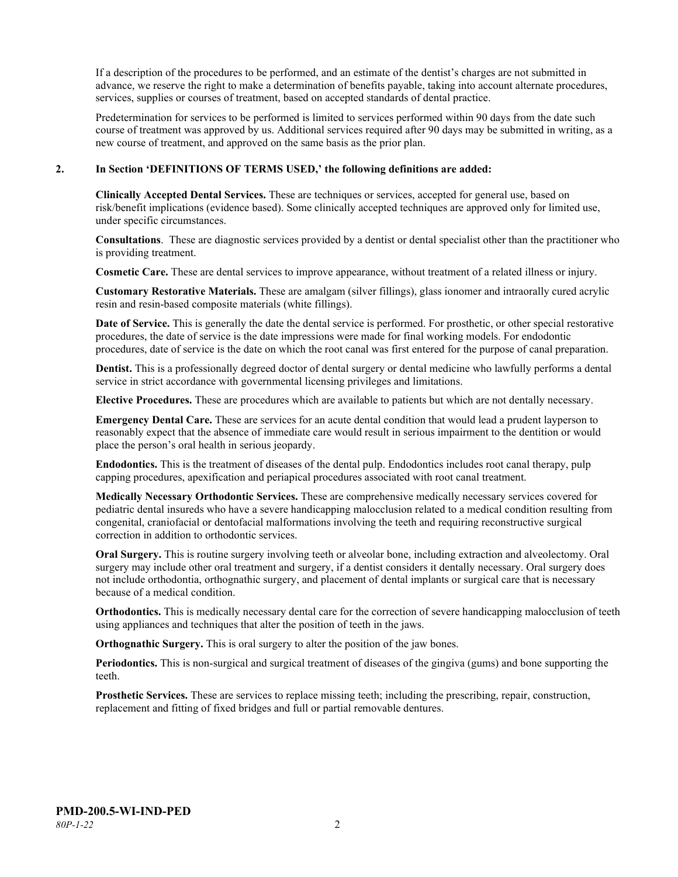If a description of the procedures to be performed, and an estimate of the dentist's charges are not submitted in advance, we reserve the right to make a determination of benefits payable, taking into account alternate procedures, services, supplies or courses of treatment, based on accepted standards of dental practice.

Predetermination for services to be performed is limited to services performed within 90 days from the date such course of treatment was approved by us. Additional services required after 90 days may be submitted in writing, as a new course of treatment, and approved on the same basis as the prior plan.

#### **2. In Section 'DEFINITIONS OF TERMS USED,' the following definitions are added:**

**Clinically Accepted Dental Services.** These are techniques or services, accepted for general use, based on risk/benefit implications (evidence based). Some clinically accepted techniques are approved only for limited use, under specific circumstances.

**Consultations**. These are diagnostic services provided by a dentist or dental specialist other than the practitioner who is providing treatment.

**Cosmetic Care.** These are dental services to improve appearance, without treatment of a related illness or injury.

**Customary Restorative Materials.** These are amalgam (silver fillings), glass ionomer and intraorally cured acrylic resin and resin-based composite materials (white fillings).

**Date of Service.** This is generally the date the dental service is performed. For prosthetic, or other special restorative procedures, the date of service is the date impressions were made for final working models. For endodontic procedures, date of service is the date on which the root canal was first entered for the purpose of canal preparation.

**Dentist.** This is a professionally degreed doctor of dental surgery or dental medicine who lawfully performs a dental service in strict accordance with governmental licensing privileges and limitations.

**Elective Procedures.** These are procedures which are available to patients but which are not dentally necessary.

**Emergency Dental Care.** These are services for an acute dental condition that would lead a prudent layperson to reasonably expect that the absence of immediate care would result in serious impairment to the dentition or would place the person's oral health in serious jeopardy.

**Endodontics.** This is the treatment of diseases of the dental pulp. Endodontics includes root canal therapy, pulp capping procedures, apexification and periapical procedures associated with root canal treatment.

**Medically Necessary Orthodontic Services.** These are comprehensive medically necessary services covered for pediatric dental insureds who have a severe handicapping malocclusion related to a medical condition resulting from congenital, craniofacial or dentofacial malformations involving the teeth and requiring reconstructive surgical correction in addition to orthodontic services.

**Oral Surgery.** This is routine surgery involving teeth or alveolar bone, including extraction and alveolectomy. Oral surgery may include other oral treatment and surgery, if a dentist considers it dentally necessary. Oral surgery does not include orthodontia, orthognathic surgery, and placement of dental implants or surgical care that is necessary because of a medical condition.

**Orthodontics.** This is medically necessary dental care for the correction of severe handicapping malocclusion of teeth using appliances and techniques that alter the position of teeth in the jaws.

**Orthognathic Surgery.** This is oral surgery to alter the position of the jaw bones.

**Periodontics.** This is non-surgical and surgical treatment of diseases of the gingiva (gums) and bone supporting the teeth.

**Prosthetic Services.** These are services to replace missing teeth; including the prescribing, repair, construction, replacement and fitting of fixed bridges and full or partial removable dentures.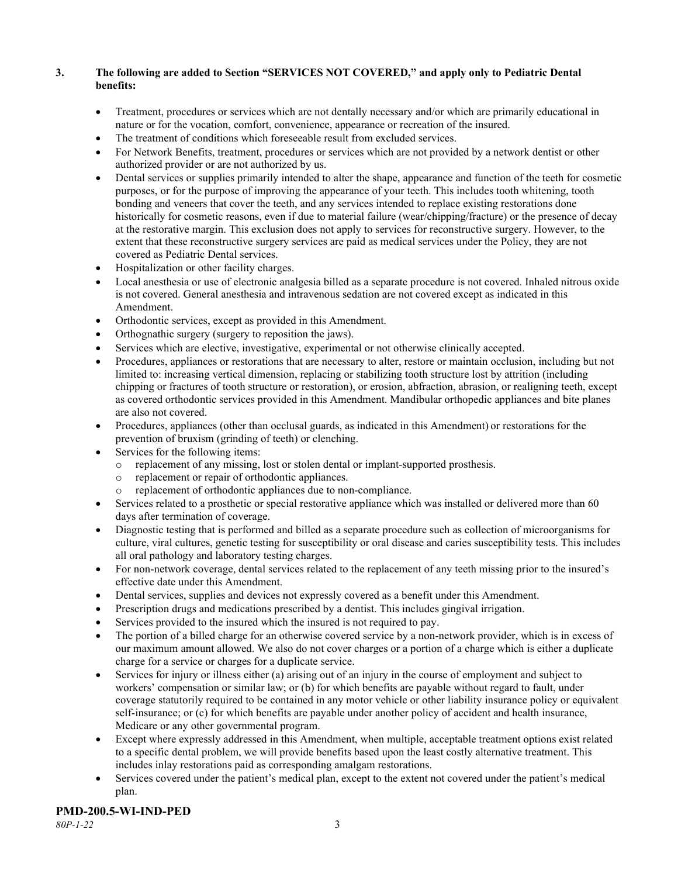## **3. The following are added to Section "SERVICES NOT COVERED," and apply only to Pediatric Dental benefits:**

- Treatment, procedures or services which are not dentally necessary and/or which are primarily educational in nature or for the vocation, comfort, convenience, appearance or recreation of the insured.
- The treatment of conditions which foreseeable result from excluded services.
- For Network Benefits, treatment, procedures or services which are not provided by a network dentist or other authorized provider or are not authorized by us.
- Dental services or supplies primarily intended to alter the shape, appearance and function of the teeth for cosmetic purposes, or for the purpose of improving the appearance of your teeth. This includes tooth whitening, tooth bonding and veneers that cover the teeth, and any services intended to replace existing restorations done historically for cosmetic reasons, even if due to material failure (wear/chipping/fracture) or the presence of decay at the restorative margin. This exclusion does not apply to services for reconstructive surgery. However, to the extent that these reconstructive surgery services are paid as medical services under the Policy, they are not covered as Pediatric Dental services.
- Hospitalization or other facility charges.
- Local anesthesia or use of electronic analgesia billed as a separate procedure is not covered. Inhaled nitrous oxide is not covered. General anesthesia and intravenous sedation are not covered except as indicated in this Amendment.
- Orthodontic services, except as provided in this Amendment.
- Orthognathic surgery (surgery to reposition the jaws).
- Services which are elective, investigative, experimental or not otherwise clinically accepted.
- Procedures, appliances or restorations that are necessary to alter, restore or maintain occlusion, including but not limited to: increasing vertical dimension, replacing or stabilizing tooth structure lost by attrition (including chipping or fractures of tooth structure or restoration), or erosion, abfraction, abrasion, or realigning teeth, except as covered orthodontic services provided in this Amendment. Mandibular orthopedic appliances and bite planes are also not covered.
- Procedures, appliances (other than occlusal guards, as indicated in this Amendment) or restorations for the prevention of bruxism (grinding of teeth) or clenching.
- Services for the following items:
	- o replacement of any missing, lost or stolen dental or implant-supported prosthesis.
	- replacement or repair of orthodontic appliances.
	- replacement of orthodontic appliances due to non-compliance.
- Services related to a prosthetic or special restorative appliance which was installed or delivered more than 60 days after termination of coverage.
- Diagnostic testing that is performed and billed as a separate procedure such as collection of microorganisms for culture, viral cultures, genetic testing for susceptibility or oral disease and caries susceptibility tests. This includes all oral pathology and laboratory testing charges.
- For non-network coverage, dental services related to the replacement of any teeth missing prior to the insured's effective date under this Amendment.
- Dental services, supplies and devices not expressly covered as a benefit under this Amendment.
- Prescription drugs and medications prescribed by a dentist. This includes gingival irrigation.
- Services provided to the insured which the insured is not required to pay.
- The portion of a billed charge for an otherwise covered service by a non-network provider, which is in excess of our maximum amount allowed. We also do not cover charges or a portion of a charge which is either a duplicate charge for a service or charges for a duplicate service.
- Services for injury or illness either (a) arising out of an injury in the course of employment and subject to workers' compensation or similar law; or (b) for which benefits are payable without regard to fault, under coverage statutorily required to be contained in any motor vehicle or other liability insurance policy or equivalent self-insurance; or (c) for which benefits are payable under another policy of accident and health insurance, Medicare or any other governmental program.
- Except where expressly addressed in this Amendment, when multiple, acceptable treatment options exist related to a specific dental problem, we will provide benefits based upon the least costly alternative treatment. This includes inlay restorations paid as corresponding amalgam restorations.
- Services covered under the patient's medical plan, except to the extent not covered under the patient's medical plan.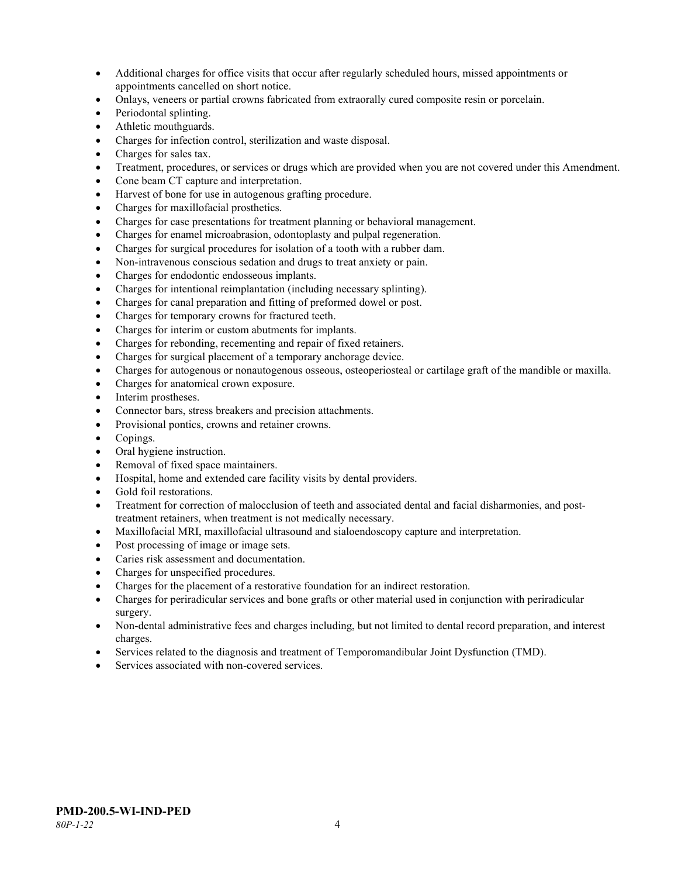- Additional charges for office visits that occur after regularly scheduled hours, missed appointments or appointments cancelled on short notice.
- Onlays, veneers or partial crowns fabricated from extraorally cured composite resin or porcelain.
- Periodontal splinting.
- Athletic mouthguards.
- Charges for infection control, sterilization and waste disposal.
- Charges for sales tax.
- Treatment, procedures, or services or drugs which are provided when you are not covered under this Amendment.
- Cone beam CT capture and interpretation.
- Harvest of bone for use in autogenous grafting procedure.
- Charges for maxillofacial prosthetics.
- Charges for case presentations for treatment planning or behavioral management.
- Charges for enamel microabrasion, odontoplasty and pulpal regeneration.
- Charges for surgical procedures for isolation of a tooth with a rubber dam.
- Non-intravenous conscious sedation and drugs to treat anxiety or pain.
- Charges for endodontic endosseous implants.
- Charges for intentional reimplantation (including necessary splinting).
- Charges for canal preparation and fitting of preformed dowel or post.
- Charges for temporary crowns for fractured teeth.
- Charges for interim or custom abutments for implants.
- Charges for rebonding, recementing and repair of fixed retainers.
- Charges for surgical placement of a temporary anchorage device.
- Charges for autogenous or nonautogenous osseous, osteoperiosteal or cartilage graft of the mandible or maxilla.
- Charges for anatomical crown exposure.
- Interim prostheses.
- Connector bars, stress breakers and precision attachments.
- Provisional pontics, crowns and retainer crowns.
- Copings.
- Oral hygiene instruction.
- Removal of fixed space maintainers.
- Hospital, home and extended care facility visits by dental providers.
- Gold foil restorations.
- Treatment for correction of malocclusion of teeth and associated dental and facial disharmonies, and posttreatment retainers, when treatment is not medically necessary.
- Maxillofacial MRI, maxillofacial ultrasound and sialoendoscopy capture and interpretation.
- Post processing of image or image sets.
- Caries risk assessment and documentation.
- Charges for unspecified procedures.
- Charges for the placement of a restorative foundation for an indirect restoration.
- Charges for periradicular services and bone grafts or other material used in conjunction with periradicular surgery.
- Non-dental administrative fees and charges including, but not limited to dental record preparation, and interest charges.
- Services related to the diagnosis and treatment of Temporomandibular Joint Dysfunction (TMD).
- Services associated with non-covered services.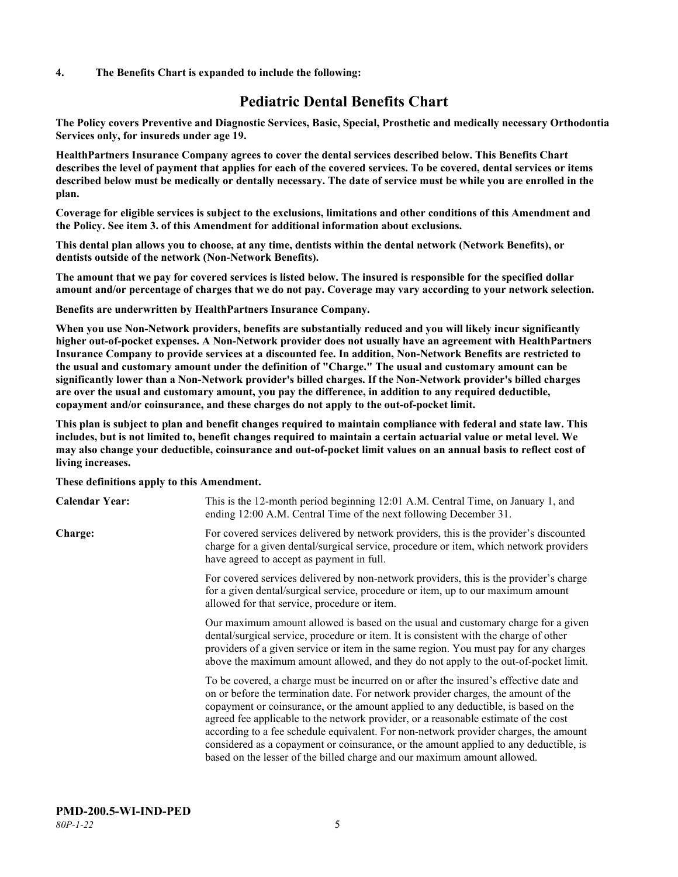#### **4. The Benefits Chart is expanded to include the following:**

# **Pediatric Dental Benefits Chart**

**The Policy covers Preventive and Diagnostic Services, Basic, Special, Prosthetic and medically necessary Orthodontia Services only, for insureds under age 19.**

**HealthPartners Insurance Company agrees to cover the dental services described below. This Benefits Chart describes the level of payment that applies for each of the covered services. To be covered, dental services or items described below must be medically or dentally necessary. The date of service must be while you are enrolled in the plan.**

**Coverage for eligible services is subject to the exclusions, limitations and other conditions of this Amendment and the Policy. See item 3. of this Amendment for additional information about exclusions.**

**This dental plan allows you to choose, at any time, dentists within the dental network (Network Benefits), or dentists outside of the network (Non-Network Benefits).**

**The amount that we pay for covered services is listed below. The insured is responsible for the specified dollar amount and/or percentage of charges that we do not pay. Coverage may vary according to your network selection.**

**Benefits are underwritten by HealthPartners Insurance Company.**

**When you use Non-Network providers, benefits are substantially reduced and you will likely incur significantly higher out-of-pocket expenses. A Non-Network provider does not usually have an agreement with HealthPartners Insurance Company to provide services at a discounted fee. In addition, Non-Network Benefits are restricted to the usual and customary amount under the definition of "Charge." The usual and customary amount can be significantly lower than a Non-Network provider's billed charges. If the Non-Network provider's billed charges are over the usual and customary amount, you pay the difference, in addition to any required deductible, copayment and/or coinsurance, and these charges do not apply to the out-of-pocket limit.**

**This plan is subject to plan and benefit changes required to maintain compliance with federal and state law. This includes, but is not limited to, benefit changes required to maintain a certain actuarial value or metal level. We may also change your deductible, coinsurance and out-of-pocket limit values on an annual basis to reflect cost of living increases.**

#### **These definitions apply to this Amendment.**

| <b>Calendar Year:</b> | This is the 12-month period beginning 12:01 A.M. Central Time, on January 1, and<br>ending 12:00 A.M. Central Time of the next following December 31.                                                                                                                                                                                                                                                                                                                                                                                                                                                                 |
|-----------------------|-----------------------------------------------------------------------------------------------------------------------------------------------------------------------------------------------------------------------------------------------------------------------------------------------------------------------------------------------------------------------------------------------------------------------------------------------------------------------------------------------------------------------------------------------------------------------------------------------------------------------|
| Charge:               | For covered services delivered by network providers, this is the provider's discounted<br>charge for a given dental/surgical service, procedure or item, which network providers<br>have agreed to accept as payment in full.                                                                                                                                                                                                                                                                                                                                                                                         |
|                       | For covered services delivered by non-network providers, this is the provider's charge<br>for a given dental/surgical service, procedure or item, up to our maximum amount<br>allowed for that service, procedure or item.                                                                                                                                                                                                                                                                                                                                                                                            |
|                       | Our maximum amount allowed is based on the usual and customary charge for a given<br>dental/surgical service, procedure or item. It is consistent with the charge of other<br>providers of a given service or item in the same region. You must pay for any charges<br>above the maximum amount allowed, and they do not apply to the out-of-pocket limit.                                                                                                                                                                                                                                                            |
|                       | To be covered, a charge must be incurred on or after the insured's effective date and<br>on or before the termination date. For network provider charges, the amount of the<br>copayment or coinsurance, or the amount applied to any deductible, is based on the<br>agreed fee applicable to the network provider, or a reasonable estimate of the cost<br>according to a fee schedule equivalent. For non-network provider charges, the amount<br>considered as a copayment or coinsurance, or the amount applied to any deductible, is<br>based on the lesser of the billed charge and our maximum amount allowed. |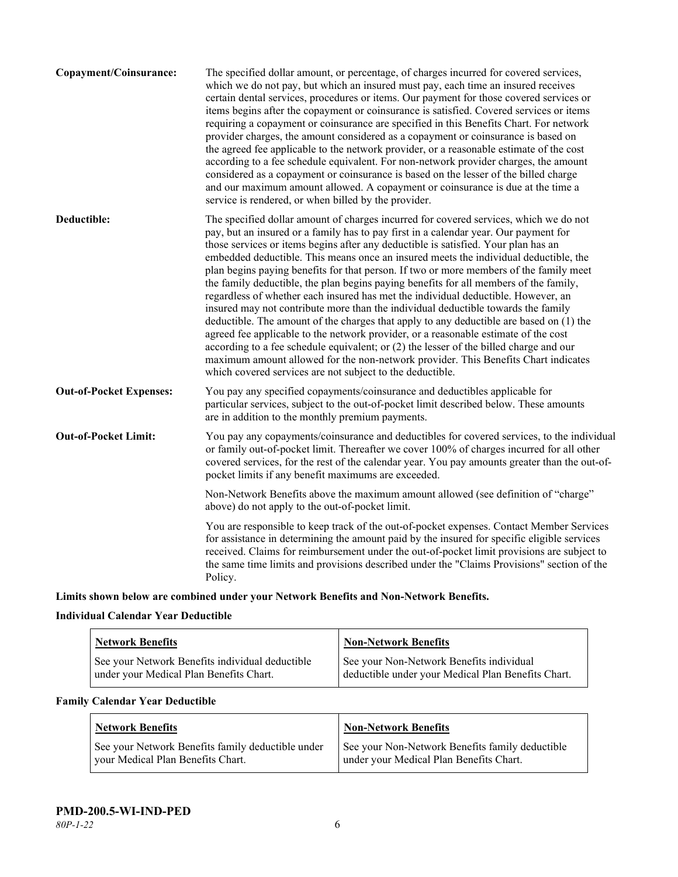| Copayment/Coinsurance:         | The specified dollar amount, or percentage, of charges incurred for covered services,<br>which we do not pay, but which an insured must pay, each time an insured receives<br>certain dental services, procedures or items. Our payment for those covered services or<br>items begins after the copayment or coinsurance is satisfied. Covered services or items<br>requiring a copayment or coinsurance are specified in this Benefits Chart. For network<br>provider charges, the amount considered as a copayment or coinsurance is based on<br>the agreed fee applicable to the network provider, or a reasonable estimate of the cost<br>according to a fee schedule equivalent. For non-network provider charges, the amount<br>considered as a copayment or coinsurance is based on the lesser of the billed charge<br>and our maximum amount allowed. A copayment or coinsurance is due at the time a<br>service is rendered, or when billed by the provider.                                                                                                                                                                                   |
|--------------------------------|---------------------------------------------------------------------------------------------------------------------------------------------------------------------------------------------------------------------------------------------------------------------------------------------------------------------------------------------------------------------------------------------------------------------------------------------------------------------------------------------------------------------------------------------------------------------------------------------------------------------------------------------------------------------------------------------------------------------------------------------------------------------------------------------------------------------------------------------------------------------------------------------------------------------------------------------------------------------------------------------------------------------------------------------------------------------------------------------------------------------------------------------------------|
| Deductible:                    | The specified dollar amount of charges incurred for covered services, which we do not<br>pay, but an insured or a family has to pay first in a calendar year. Our payment for<br>those services or items begins after any deductible is satisfied. Your plan has an<br>embedded deductible. This means once an insured meets the individual deductible, the<br>plan begins paying benefits for that person. If two or more members of the family meet<br>the family deductible, the plan begins paying benefits for all members of the family,<br>regardless of whether each insured has met the individual deductible. However, an<br>insured may not contribute more than the individual deductible towards the family<br>deductible. The amount of the charges that apply to any deductible are based on (1) the<br>agreed fee applicable to the network provider, or a reasonable estimate of the cost<br>according to a fee schedule equivalent; or (2) the lesser of the billed charge and our<br>maximum amount allowed for the non-network provider. This Benefits Chart indicates<br>which covered services are not subject to the deductible. |
| <b>Out-of-Pocket Expenses:</b> | You pay any specified copayments/coinsurance and deductibles applicable for<br>particular services, subject to the out-of-pocket limit described below. These amounts<br>are in addition to the monthly premium payments.                                                                                                                                                                                                                                                                                                                                                                                                                                                                                                                                                                                                                                                                                                                                                                                                                                                                                                                               |
| <b>Out-of-Pocket Limit:</b>    | You pay any copayments/coinsurance and deductibles for covered services, to the individual<br>or family out-of-pocket limit. Thereafter we cover 100% of charges incurred for all other<br>covered services, for the rest of the calendar year. You pay amounts greater than the out-of-<br>pocket limits if any benefit maximums are exceeded.                                                                                                                                                                                                                                                                                                                                                                                                                                                                                                                                                                                                                                                                                                                                                                                                         |
|                                | Non-Network Benefits above the maximum amount allowed (see definition of "charge"<br>above) do not apply to the out-of-pocket limit.                                                                                                                                                                                                                                                                                                                                                                                                                                                                                                                                                                                                                                                                                                                                                                                                                                                                                                                                                                                                                    |
|                                | You are responsible to keep track of the out-of-pocket expenses. Contact Member Services<br>for assistance in determining the amount paid by the insured for specific eligible services<br>received. Claims for reimbursement under the out-of-pocket limit provisions are subject to<br>the same time limits and provisions described under the "Claims Provisions" section of the<br>Policy.                                                                                                                                                                                                                                                                                                                                                                                                                                                                                                                                                                                                                                                                                                                                                          |
|                                |                                                                                                                                                                                                                                                                                                                                                                                                                                                                                                                                                                                                                                                                                                                                                                                                                                                                                                                                                                                                                                                                                                                                                         |

**Limits shown below are combined under your Network Benefits and Non-Network Benefits.**

# **Individual Calendar Year Deductible**

| <b>Network Benefits</b>                                                                    | <b>Non-Network Benefits</b>                                                                    |
|--------------------------------------------------------------------------------------------|------------------------------------------------------------------------------------------------|
| See your Network Benefits individual deductible<br>under your Medical Plan Benefits Chart. | See your Non-Network Benefits individual<br>deductible under your Medical Plan Benefits Chart. |

# **Family Calendar Year Deductible**

| Network Benefits                                  | <b>Non-Network Benefits</b>                     |
|---------------------------------------------------|-------------------------------------------------|
| See your Network Benefits family deductible under | See your Non-Network Benefits family deductible |
| vour Medical Plan Benefits Chart.                 | under your Medical Plan Benefits Chart.         |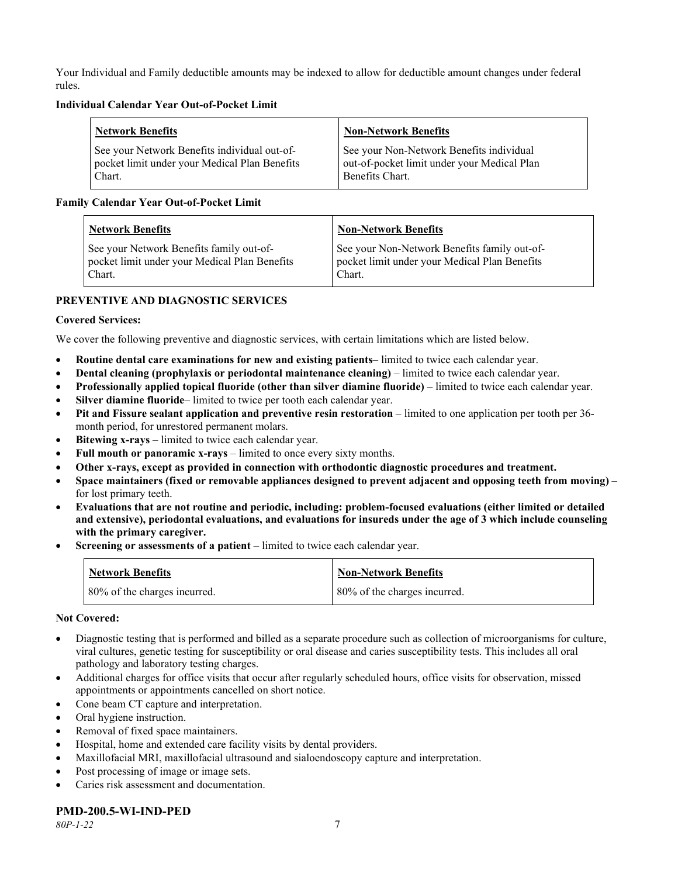Your Individual and Family deductible amounts may be indexed to allow for deductible amount changes under federal rules.

#### **Individual Calendar Year Out-of-Pocket Limit**

| Network Benefits                              | <b>Non-Network Benefits</b>                 |
|-----------------------------------------------|---------------------------------------------|
| See your Network Benefits individual out-of-  | See your Non-Network Benefits individual    |
| pocket limit under your Medical Plan Benefits | out-of-pocket limit under your Medical Plan |
| Chart.                                        | Benefits Chart.                             |

#### **Family Calendar Year Out-of-Pocket Limit**

| <b>Network Benefits</b>                       | <b>Non-Network Benefits</b>                   |
|-----------------------------------------------|-----------------------------------------------|
| See your Network Benefits family out-of-      | See your Non-Network Benefits family out-of-  |
| pocket limit under your Medical Plan Benefits | pocket limit under your Medical Plan Benefits |
| Chart.                                        | Chart.                                        |

# **PREVENTIVE AND DIAGNOSTIC SERVICES**

#### **Covered Services:**

We cover the following preventive and diagnostic services, with certain limitations which are listed below.

- **Routine dental care examinations for new and existing patients** limited to twice each calendar year.
- **Dental cleaning (prophylaxis or periodontal maintenance cleaning)** limited to twice each calendar year.
- **Professionally applied topical fluoride (other than silver diamine fluoride)** limited to twice each calendar year.
- **Silver diamine fluoride** limited to twice per tooth each calendar year.
- **Pit and Fissure sealant application and preventive resin restoration** limited to one application per tooth per 36 month period, for unrestored permanent molars.
- **Bitewing x-rays** limited to twice each calendar year.
- **Full mouth or panoramic x-rays** limited to once every sixty months.
- **Other x-rays, except as provided in connection with orthodontic diagnostic procedures and treatment.**
- **Space maintainers (fixed or removable appliances designed to prevent adjacent and opposing teeth from moving)** for lost primary teeth.
- **Evaluations that are not routine and periodic, including: problem-focused evaluations (either limited or detailed and extensive), periodontal evaluations, and evaluations for insureds under the age of 3 which include counseling with the primary caregiver.**
- **Screening or assessments of a patient** limited to twice each calendar year.

| <b>Network Benefits</b>      | <b>Non-Network Benefits</b>  |
|------------------------------|------------------------------|
| 80% of the charges incurred. | 80% of the charges incurred. |

#### **Not Covered:**

- Diagnostic testing that is performed and billed as a separate procedure such as collection of microorganisms for culture, viral cultures, genetic testing for susceptibility or oral disease and caries susceptibility tests. This includes all oral pathology and laboratory testing charges.
- Additional charges for office visits that occur after regularly scheduled hours, office visits for observation, missed appointments or appointments cancelled on short notice.
- Cone beam CT capture and interpretation.
- Oral hygiene instruction.
- Removal of fixed space maintainers.
- Hospital, home and extended care facility visits by dental providers.
- Maxillofacial MRI, maxillofacial ultrasound and sialoendoscopy capture and interpretation.
- Post processing of image or image sets.
- Caries risk assessment and documentation.

# **PMD-200.5-WI-IND-PED**

*80P-1-22* 7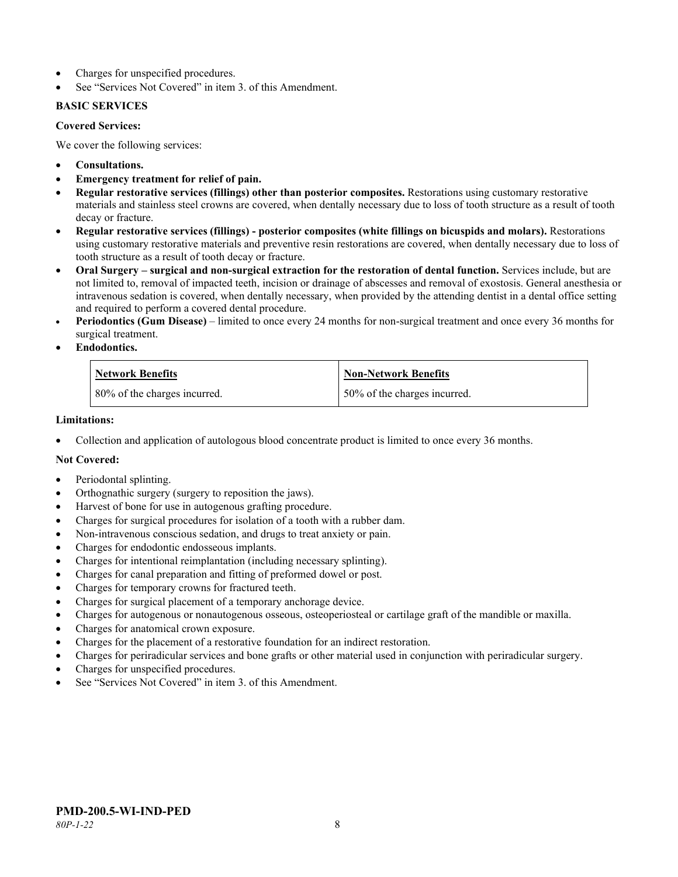- Charges for unspecified procedures.
- See "Services Not Covered" in item 3. of this Amendment.

#### **BASIC SERVICES**

#### **Covered Services:**

We cover the following services:

- **Consultations.**
- **Emergency treatment for relief of pain.**
- **Regular restorative services (fillings) other than posterior composites.** Restorations using customary restorative materials and stainless steel crowns are covered, when dentally necessary due to loss of tooth structure as a result of tooth decay or fracture.
- **Regular restorative services (fillings) - posterior composites (white fillings on bicuspids and molars).** Restorations using customary restorative materials and preventive resin restorations are covered, when dentally necessary due to loss of tooth structure as a result of tooth decay or fracture.
- **Oral Surgery – surgical and non-surgical extraction for the restoration of dental function.** Services include, but are not limited to, removal of impacted teeth, incision or drainage of abscesses and removal of exostosis. General anesthesia or intravenous sedation is covered, when dentally necessary, when provided by the attending dentist in a dental office setting and required to perform a covered dental procedure.
- **Periodontics (Gum Disease)** limited to once every 24 months for non-surgical treatment and once every 36 months for surgical treatment.
- **Endodontics.**

| <b>Network Benefits</b>      | <b>Non-Network Benefits</b>  |
|------------------------------|------------------------------|
| 80% of the charges incurred. | 50% of the charges incurred. |

#### **Limitations:**

• Collection and application of autologous blood concentrate product is limited to once every 36 months.

# **Not Covered:**

- Periodontal splinting.
- Orthognathic surgery (surgery to reposition the jaws).
- Harvest of bone for use in autogenous grafting procedure.
- Charges for surgical procedures for isolation of a tooth with a rubber dam.
- Non-intravenous conscious sedation, and drugs to treat anxiety or pain.
- Charges for endodontic endosseous implants.
- Charges for intentional reimplantation (including necessary splinting).
- Charges for canal preparation and fitting of preformed dowel or post.
- Charges for temporary crowns for fractured teeth.
- Charges for surgical placement of a temporary anchorage device.
- Charges for autogenous or nonautogenous osseous, osteoperiosteal or cartilage graft of the mandible or maxilla.
- Charges for anatomical crown exposure.
- Charges for the placement of a restorative foundation for an indirect restoration.
- Charges for periradicular services and bone grafts or other material used in conjunction with periradicular surgery.
- Charges for unspecified procedures.
- See "Services Not Covered" in item 3. of this Amendment.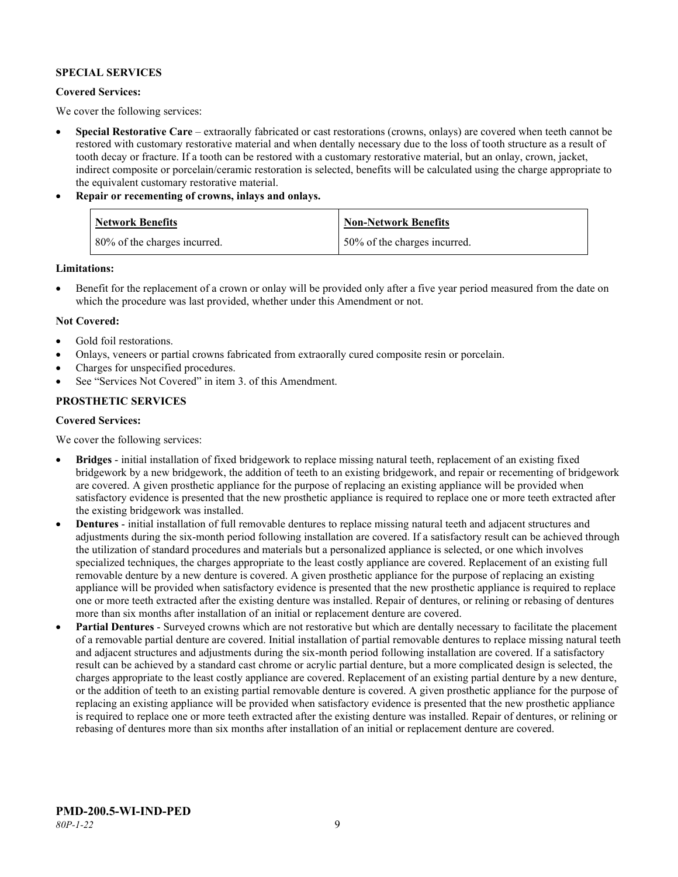#### **SPECIAL SERVICES**

#### **Covered Services:**

We cover the following services:

- **Special Restorative Care** extraorally fabricated or cast restorations (crowns, onlays) are covered when teeth cannot be restored with customary restorative material and when dentally necessary due to the loss of tooth structure as a result of tooth decay or fracture. If a tooth can be restored with a customary restorative material, but an onlay, crown, jacket, indirect composite or porcelain/ceramic restoration is selected, benefits will be calculated using the charge appropriate to the equivalent customary restorative material.
- **Repair or recementing of crowns, inlays and onlays.**

| <b>Network Benefits</b>      | Non-Network Benefits         |
|------------------------------|------------------------------|
| 80% of the charges incurred. | 50% of the charges incurred. |

**Limitations:**

• Benefit for the replacement of a crown or onlay will be provided only after a five year period measured from the date on which the procedure was last provided, whether under this Amendment or not.

#### **Not Covered:**

- Gold foil restorations.
- Onlays, veneers or partial crowns fabricated from extraorally cured composite resin or porcelain.
- Charges for unspecified procedures.
- See "Services Not Covered" in item 3. of this Amendment.

# **PROSTHETIC SERVICES**

#### **Covered Services:**

We cover the following services:

- **Bridges** initial installation of fixed bridgework to replace missing natural teeth, replacement of an existing fixed bridgework by a new bridgework, the addition of teeth to an existing bridgework, and repair or recementing of bridgework are covered. A given prosthetic appliance for the purpose of replacing an existing appliance will be provided when satisfactory evidence is presented that the new prosthetic appliance is required to replace one or more teeth extracted after the existing bridgework was installed.
- **Dentures** initial installation of full removable dentures to replace missing natural teeth and adjacent structures and adjustments during the six-month period following installation are covered. If a satisfactory result can be achieved through the utilization of standard procedures and materials but a personalized appliance is selected, or one which involves specialized techniques, the charges appropriate to the least costly appliance are covered. Replacement of an existing full removable denture by a new denture is covered. A given prosthetic appliance for the purpose of replacing an existing appliance will be provided when satisfactory evidence is presented that the new prosthetic appliance is required to replace one or more teeth extracted after the existing denture was installed. Repair of dentures, or relining or rebasing of dentures more than six months after installation of an initial or replacement denture are covered.
- **Partial Dentures** Surveyed crowns which are not restorative but which are dentally necessary to facilitate the placement of a removable partial denture are covered. Initial installation of partial removable dentures to replace missing natural teeth and adjacent structures and adjustments during the six-month period following installation are covered. If a satisfactory result can be achieved by a standard cast chrome or acrylic partial denture, but a more complicated design is selected, the charges appropriate to the least costly appliance are covered. Replacement of an existing partial denture by a new denture, or the addition of teeth to an existing partial removable denture is covered. A given prosthetic appliance for the purpose of replacing an existing appliance will be provided when satisfactory evidence is presented that the new prosthetic appliance is required to replace one or more teeth extracted after the existing denture was installed. Repair of dentures, or relining or rebasing of dentures more than six months after installation of an initial or replacement denture are covered.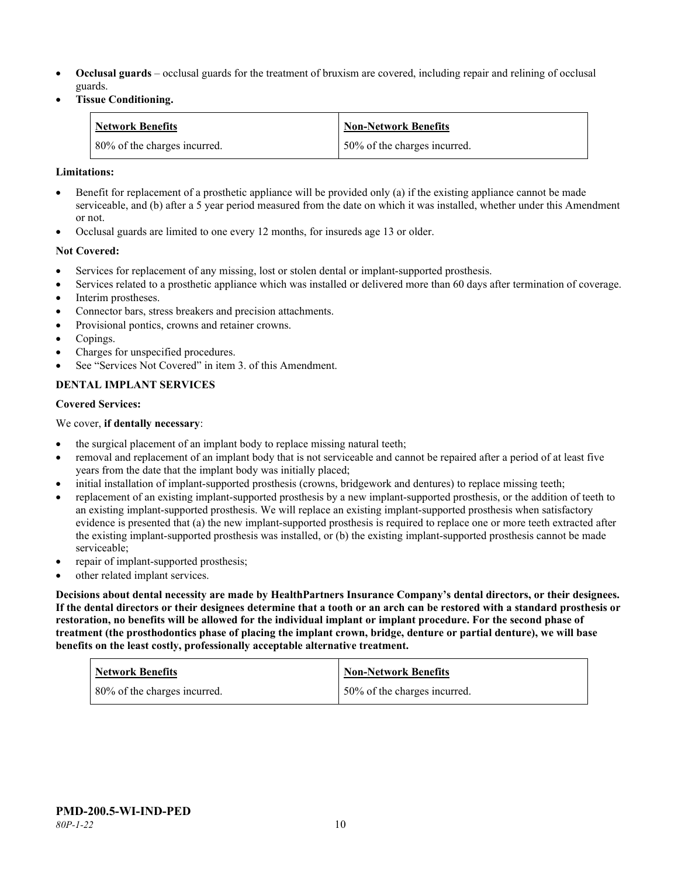- **Occlusal guards** occlusal guards for the treatment of bruxism are covered, including repair and relining of occlusal guards.
- **Tissue Conditioning.**

| <b>Network Benefits</b>      | Non-Network Benefits         |
|------------------------------|------------------------------|
| 80% of the charges incurred. | 50% of the charges incurred. |

#### **Limitations:**

- Benefit for replacement of a prosthetic appliance will be provided only (a) if the existing appliance cannot be made serviceable, and (b) after a 5 year period measured from the date on which it was installed, whether under this Amendment or not.
- Occlusal guards are limited to one every 12 months, for insureds age 13 or older.

#### **Not Covered:**

- Services for replacement of any missing, lost or stolen dental or implant-supported prosthesis.
- Services related to a prosthetic appliance which was installed or delivered more than 60 days after termination of coverage. Interim prostheses.
- Connector bars, stress breakers and precision attachments.
- Provisional pontics, crowns and retainer crowns.
- Copings.
- Charges for unspecified procedures.
- See "Services Not Covered" in item 3. of this Amendment.

# **DENTAL IMPLANT SERVICES**

#### **Covered Services:**

We cover, **if dentally necessary**:

- the surgical placement of an implant body to replace missing natural teeth;
- removal and replacement of an implant body that is not serviceable and cannot be repaired after a period of at least five years from the date that the implant body was initially placed;
- initial installation of implant-supported prosthesis (crowns, bridgework and dentures) to replace missing teeth;
- replacement of an existing implant-supported prosthesis by a new implant-supported prosthesis, or the addition of teeth to an existing implant-supported prosthesis. We will replace an existing implant-supported prosthesis when satisfactory evidence is presented that (a) the new implant-supported prosthesis is required to replace one or more teeth extracted after the existing implant-supported prosthesis was installed, or (b) the existing implant-supported prosthesis cannot be made serviceable;
- repair of implant-supported prosthesis;
- other related implant services.

**Decisions about dental necessity are made by HealthPartners Insurance Company's dental directors, or their designees. If the dental directors or their designees determine that a tooth or an arch can be restored with a standard prosthesis or restoration, no benefits will be allowed for the individual implant or implant procedure. For the second phase of treatment (the prosthodontics phase of placing the implant crown, bridge, denture or partial denture), we will base benefits on the least costly, professionally acceptable alternative treatment.**

| <b>Network Benefits</b>      | <b>Non-Network Benefits</b>  |
|------------------------------|------------------------------|
| 80% of the charges incurred. | 50% of the charges incurred. |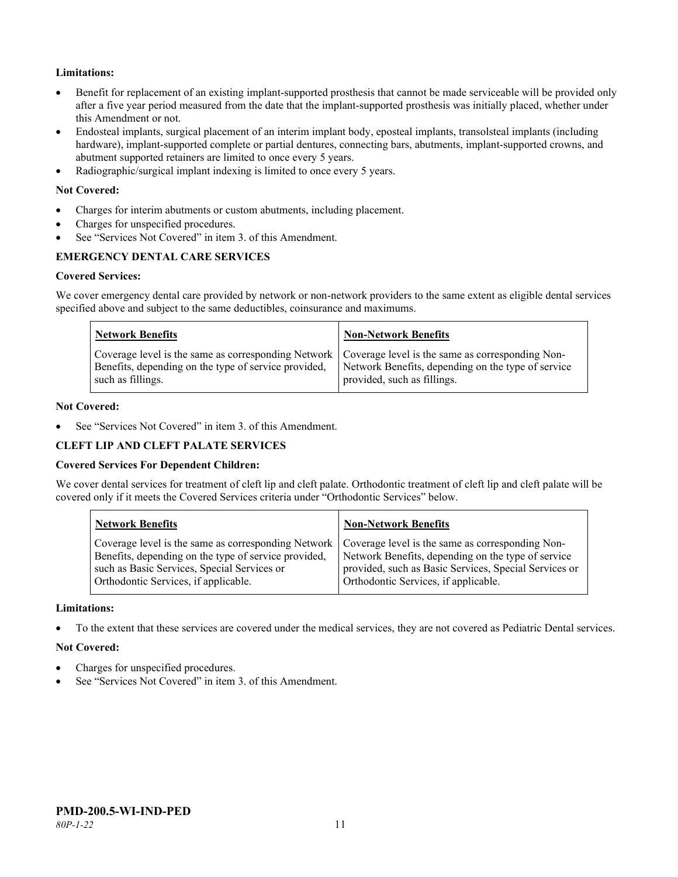# **Limitations:**

- Benefit for replacement of an existing implant-supported prosthesis that cannot be made serviceable will be provided only after a five year period measured from the date that the implant-supported prosthesis was initially placed, whether under this Amendment or not.
- Endosteal implants, surgical placement of an interim implant body, eposteal implants, transolsteal implants (including hardware), implant-supported complete or partial dentures, connecting bars, abutments, implant-supported crowns, and abutment supported retainers are limited to once every 5 years.
- Radiographic/surgical implant indexing is limited to once every 5 years.

#### **Not Covered:**

- Charges for interim abutments or custom abutments, including placement.
- Charges for unspecified procedures.
- See "Services Not Covered" in item 3, of this Amendment.

# **EMERGENCY DENTAL CARE SERVICES**

#### **Covered Services:**

We cover emergency dental care provided by network or non-network providers to the same extent as eligible dental services specified above and subject to the same deductibles, coinsurance and maximums.

| <b>Network Benefits</b>                                                                                                                                                             | <b>Non-Network Benefits</b>                                                       |
|-------------------------------------------------------------------------------------------------------------------------------------------------------------------------------------|-----------------------------------------------------------------------------------|
| Coverage level is the same as corresponding Network   Coverage level is the same as corresponding Non-<br>Benefits, depending on the type of service provided,<br>such as fillings. | Network Benefits, depending on the type of service<br>provided, such as fillings. |

#### **Not Covered:**

See "Services Not Covered" in item 3. of this Amendment.

#### **CLEFT LIP AND CLEFT PALATE SERVICES**

#### **Covered Services For Dependent Children:**

We cover dental services for treatment of cleft lip and cleft palate. Orthodontic treatment of cleft lip and cleft palate will be covered only if it meets the Covered Services criteria under "Orthodontic Services" below.

| <b>Network Benefits</b>                              | <b>Non-Network Benefits</b>                           |
|------------------------------------------------------|-------------------------------------------------------|
| Coverage level is the same as corresponding Network  | Coverage level is the same as corresponding Non-      |
| Benefits, depending on the type of service provided, | Network Benefits, depending on the type of service    |
| such as Basic Services, Special Services or          | provided, such as Basic Services, Special Services or |
| Orthodontic Services, if applicable.                 | Orthodontic Services, if applicable.                  |

#### **Limitations:**

• To the extent that these services are covered under the medical services, they are not covered as Pediatric Dental services.

#### **Not Covered:**

- Charges for unspecified procedures.
- See "Services Not Covered" in item 3. of this Amendment.